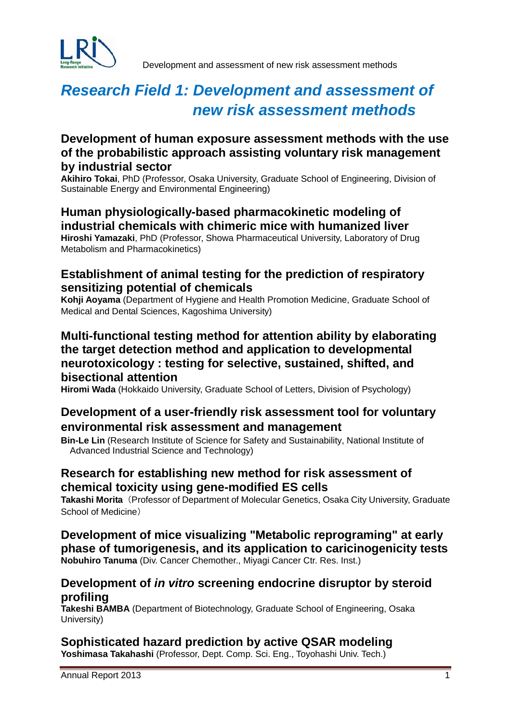

Development and assessment of new risk assessment methods

# *Research Field 1: Development and assessment of new risk assessment methods*

## **Development of human exposure assessment methods with the use of the probabilistic approach assisting voluntary risk management by industrial sector**

**Akihiro Tokai**, PhD (Professor, Osaka University, Graduate School of Engineering, Division of Sustainable Energy and Environmental Engineering)

#### **Human physiologically-based pharmacokinetic modeling of industrial chemicals with chimeric mice with humanized liver Hiroshi Yamazaki**, PhD (Professor, Showa Pharmaceutical University, Laboratory of Drug Metabolism and Pharmacokinetics)

## **Establishment of animal testing for the prediction of respiratory sensitizing potential of chemicals**

**Kohji Aoyama** (Department of Hygiene and Health Promotion Medicine, Graduate School of Medical and Dental Sciences, Kagoshima University)

## **Multi-functional testing method for attention ability by elaborating the target detection method and application to developmental neurotoxicology : testing for selective, sustained, shifted, and bisectional attention**

**Hiromi Wada** (Hokkaido University, Graduate School of Letters, Division of Psychology)

## **Development of a user-friendly risk assessment tool for voluntary environmental risk assessment and management**

**Bin-Le Lin** (Research Institute of Science for Safety and Sustainability, National Institute of Advanced Industrial Science and Technology)

## **Research for establishing new method for risk assessment of chemical toxicity using gene-modified ES cells**

**Takashi Morita**(Professor of Department of Molecular Genetics, Osaka City University, Graduate School of Medicine)

**Development of mice visualizing "Metabolic reprograming" at early phase of tumorigenesis, and its application to caricinogenicity tests Nobuhiro Tanuma** (Div. Cancer Chemother., Miyagi Cancer Ctr. Res. Inst.)

## **Development of** *in vitro* **screening endocrine disruptor by steroid profiling**

**Takeshi BAMBA** (Department of Biotechnology, Graduate School of Engineering, Osaka University)

# **Sophisticated hazard prediction by active QSAR modeling Yoshimasa Takahashi** (Professor, Dept. Comp. Sci. Eng., Toyohashi Univ. Tech.)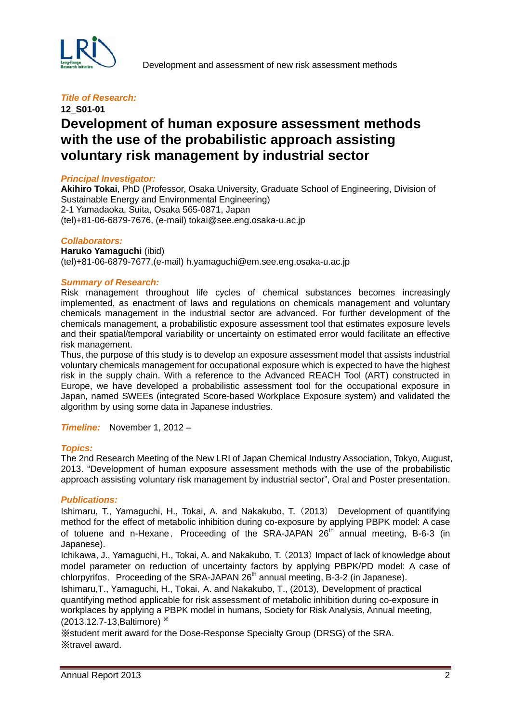

## **12\_S01-01 Development of human exposure assessment methods with the use of the probabilistic approach assisting voluntary risk management by industrial sector**

#### *Principal Investigator:*

**Akihiro Tokai**, PhD (Professor, Osaka University, Graduate School of Engineering, Division of Sustainable Energy and Environmental Engineering) 2-1 Yamadaoka, Suita, Osaka 565-0871, Japan (tel)+81-06-6879-7676, (e-mail) tokai@see.eng.osaka-u.ac.jp

#### *Collaborators:*

**Haruko Yamaguchi** (ibid) (tel)+81-06-6879-7677,(e-mail) h.yamaguchi@em.see.eng.osaka-u.ac.jp

#### *Summary of Research:*

Risk management throughout life cycles of chemical substances becomes increasingly implemented, as enactment of laws and regulations on chemicals management and voluntary chemicals management in the industrial sector are advanced. For further development of the chemicals management, a probabilistic exposure assessment tool that estimates exposure levels and their spatial/temporal variability or uncertainty on estimated error would facilitate an effective risk management.

Thus, the purpose of this study is to develop an exposure assessment model that assists industrial voluntary chemicals management for occupational exposure which is expected to have the highest risk in the supply chain. With a reference to the Advanced REACH Tool (ART) constructed in Europe, we have developed a probabilistic assessment tool for the occupational exposure in Japan, named SWEEs (integrated Score-based Workplace Exposure system) and validated the algorithm by using some data in Japanese industries.

*Timeline:* November 1, 2012 –

#### *Topics:*

The 2nd Research Meeting of the New LRI of Japan Chemical Industry Association, Tokyo, August, 2013. "Development of human exposure assessment methods with the use of the probabilistic approach assisting voluntary risk management by industrial sector", Oral and Poster presentation.

#### *Publications:*

Ishimaru, T., Yamaguchi, H., Tokai, A. and Nakakubo, T.(2013) Development of quantifying method for the effect of metabolic inhibition during co-exposure by applying PBPK model: A case of toluene and n-Hexane. Proceeding of the SRA-JAPAN  $26<sup>th</sup>$  annual meeting, B-6-3 (in Japanese).

Ichikawa, J., Yamaguchi, H., Tokai, A. and Nakakubo, T. (2013) Impact of lack of knowledge about model parameter on reduction of uncertainty factors by applying PBPK/PD model: A case of chlorpyrifos, Proceeding of the SRA-JAPAN  $26<sup>th</sup>$  annual meeting, B-3-2 (in Japanese).

Ishimaru, T., Yamaguchi, H., Tokai, A. and Nakakubo, T., (2013), Development of practical quantifying method applicable for risk assessment of metabolic inhibition during co-exposure in workplaces by applying a PBPK model in humans, Society for Risk Analysis, Annual meeting, (2013.12.7-13,Baltimore) ※

※student merit award for the Dose-Response Specialty Group (DRSG) of the SRA. ※travel award.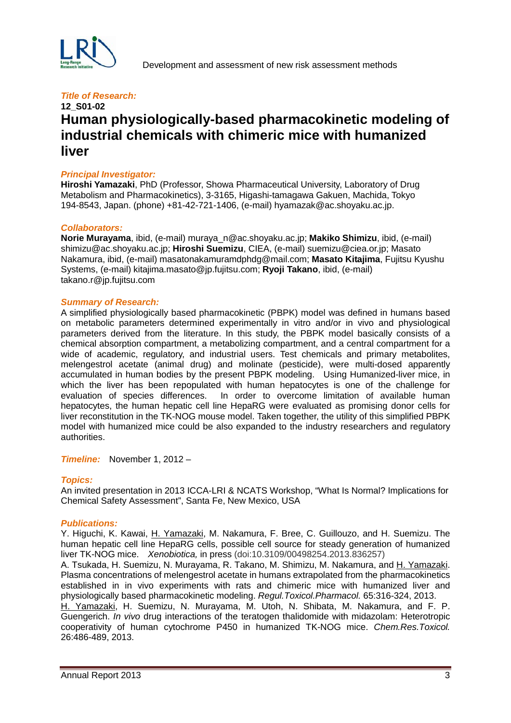

## **12\_S01-02 Human physiologically-based pharmacokinetic modeling of industrial chemicals with chimeric mice with humanized liver**

#### *Principal Investigator:*

**Hiroshi Yamazaki**, PhD (Professor, Showa Pharmaceutical University, Laboratory of Drug Metabolism and Pharmacokinetics), 3-3165, Higashi-tamagawa Gakuen, Machida, Tokyo 194-8543, Japan. (phone) +81-42-721-1406, (e-mail) hyamazak@ac.shoyaku.ac.jp.

#### *Collaborators:*

**Norie Murayama**, ibid, (e-mail) [muraya\\_n@ac.shoyaku.ac.jp;](mailto:muraya_n@ac.shoyaku.ac.jp) **Makiko Shimizu**, ibid, (e-mail) [shimizu@ac.shoyaku.ac.jp;](mailto:shimizu@ac.shoyaku.ac.jp) **Hiroshi Suemizu**, CIEA, (e-mail) suemizu@ciea.or.jp; Masato Nakamura, ibid, (e-mail) masatonakamuramdphdg@mail.com; **Masato Kitajima**, Fujitsu Kyushu Systems, (e-mail) [kitajima.masato@jp.fujitsu.com;](mailto:kitajima.masato@jp.fujitsu.com) **Ryoji Takano**, ibid, (e-mail) takano.r@jp.fujitsu.com

#### *Summary of Research:*

A simplified physiologically based pharmacokinetic (PBPK) model was defined in humans based on metabolic parameters determined experimentally in vitro and/or in vivo and physiological parameters derived from the literature. In this study, the PBPK model basically consists of a chemical absorption compartment, a metabolizing compartment, and a central compartment for a wide of academic, regulatory, and industrial users. Test chemicals and primary metabolites, melengestrol acetate (animal drug) and molinate (pesticide), were multi-dosed apparently accumulated in human bodies by the present PBPK modeling. Using Humanized-liver mice, in which the liver has been repopulated with human hepatocytes is one of the challenge for evaluation of species differences. In order to overcome limitation of available human hepatocytes, the human hepatic cell line HepaRG were evaluated as promising donor cells for liver reconstitution in the TK-NOG mouse model. Taken together, the utility of this simplified PBPK model with humanized mice could be also expanded to the industry researchers and regulatory authorities.

*Timeline:* November 1, 2012 –

#### *Topics:*

An invited presentation in 2013 ICCA-LRI & NCATS Workshop, "What Is Normal? Implications for Chemical Safety Assessment", Santa Fe, New Mexico, USA

#### *Publications:*

Y. Higuchi, K. Kawai, H. Yamazaki, M. Nakamura, F. Bree, C. Guillouzo, and H. Suemizu. The human hepatic cell line HepaRG cells, possible cell source for steady generation of humanized liver TK-NOG mice. *Xenobiotica,* in press (doi:10.3109/00498254.2013.836257)

A. Tsukada, H. Suemizu, N. Murayama, R. Takano, M. Shimizu, M. Nakamura, and H. Yamazaki. Plasma concentrations of melengestrol acetate in humans extrapolated from the pharmacokinetics established in in vivo experiments with rats and chimeric mice with humanized liver and physiologically based pharmacokinetic modeling. *Regul.Toxicol.Pharmacol.* 65:316-324, 2013.

H. Yamazaki, H. Suemizu, N. Murayama, M. Utoh, N. Shibata, M. Nakamura, and F. P. Guengerich. *In vivo* drug interactions of the teratogen thalidomide with midazolam: Heterotropic cooperativity of human cytochrome P450 in humanized TK-NOG mice. *Chem.Res.Toxicol.* 26:486-489, 2013.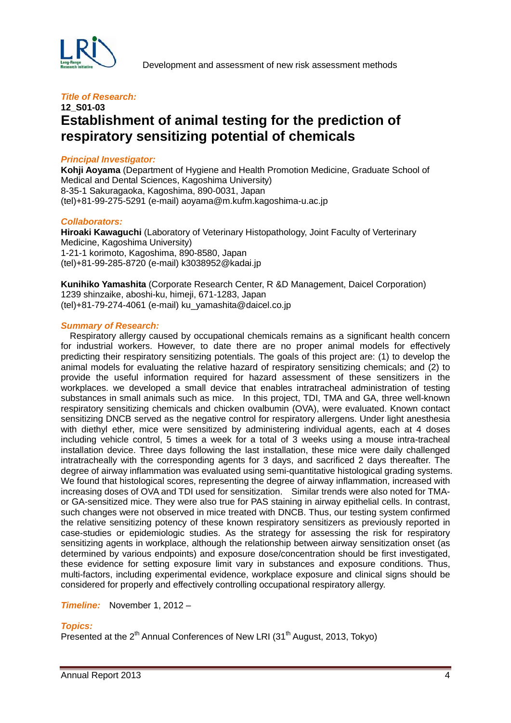

## **12\_S01-03 Establishment of animal testing for the prediction of respiratory sensitizing potential of chemicals**

#### *Principal Investigator:*

**Kohji Aoyama** (Department of Hygiene and Health Promotion Medicine, Graduate School of Medical and Dental Sciences, Kagoshima University) 8-35-1 Sakuragaoka, Kagoshima, 890-0031, Japan (tel)+81-99-275-5291 (e-mail) aoyama@m.kufm.kagoshima-u.ac.jp

#### *Collaborators:*

**Hiroaki Kawaguchi** (Laboratory of Veterinary Histopathology, Joint Faculty of Verterinary Medicine, Kagoshima University) 1-21-1 korimoto, Kagoshima, 890-8580, Japan (tel)+81-99-285-8720 (e-mail) k3038952@kadai.jp

**Kunihiko Yamashita** (Corporate Research Center, R &D Management, Daicel Corporation) 1239 shinzaike, aboshi-ku, himeji, 671-1283, Japan (tel)+81-79-274-4061 (e-mail) ku\_yamashita@daicel.co.jp

#### *Summary of Research:*

Respiratory allergy caused by occupational chemicals remains as a significant health concern for industrial workers. However, to date there are no proper animal models for effectively predicting their respiratory sensitizing potentials. The goals of this project are: (1) to develop the animal models for evaluating the relative hazard of respiratory sensitizing chemicals; and (2) to provide the useful information required for hazard assessment of these sensitizers in the workplaces. we developed a small device that enables intratracheal administration of testing substances in small animals such as mice. In this project, TDI, TMA and GA, three well-known respiratory sensitizing chemicals and chicken ovalbumin (OVA), were evaluated. Known contact sensitizing DNCB served as the negative control for respiratory allergens. Under light anesthesia with diethyl ether, mice were sensitized by administering individual agents, each at 4 doses including vehicle control, 5 times a week for a total of 3 weeks using a mouse intra-tracheal installation device. Three days following the last installation, these mice were daily challenged intratracheally with the corresponding agents for 3 days, and sacrificed 2 days thereafter. The degree of airway inflammation was evaluated using semi-quantitative histological grading systems. We found that histological scores, representing the degree of airway inflammation, increased with increasing doses of OVA and TDI used for sensitization. Similar trends were also noted for TMAor GA-sensitized mice. They were also true for PAS staining in airway epithelial cells. In contrast, such changes were not observed in mice treated with DNCB. Thus, our testing system confirmed the relative sensitizing potency of these known respiratory sensitizers as previously reported in case-studies or epidemiologic studies. As the strategy for assessing the risk for respiratory sensitizing agents in workplace, although the relationship between airway sensitization onset (as determined by various endpoints) and exposure dose/concentration should be first investigated, these evidence for setting exposure limit vary in substances and exposure conditions. Thus, multi-factors, including experimental evidence, workplace exposure and clinical signs should be considered for properly and effectively controlling occupational respiratory allergy.

*Timeline:* November 1, 2012 –

#### *Topics:*

Presented at the 2<sup>th</sup> Annual Conferences of New LRI (31<sup>th</sup> August, 2013, Tokyo)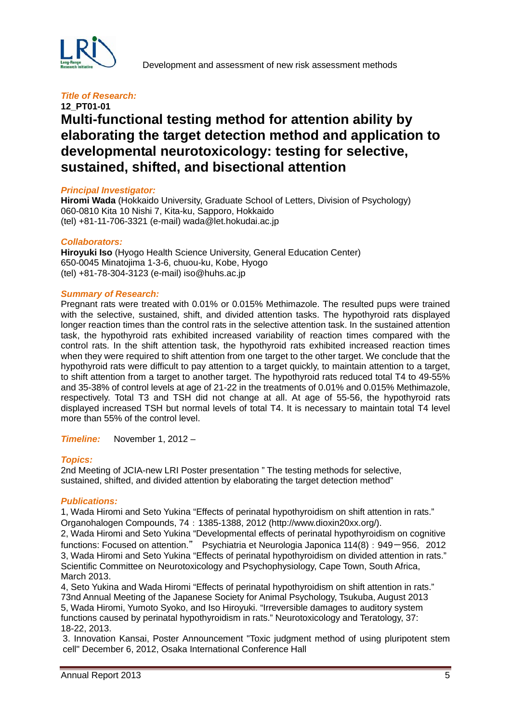

## **12\_PT01-01 Multi-functional testing method for attention ability by elaborating the target detection method and application to developmental neurotoxicology: testing for selective, sustained, shifted, and bisectional attention**

#### *Principal Investigator:*

**Hiromi Wada** (Hokkaido University, Graduate School of Letters, Division of Psychology) 060-0810 Kita 10 Nishi 7, Kita-ku, Sapporo, Hokkaido (tel) +81-11-706-3321 (e-mail) wada@let.hokudai.ac.jp

#### *Collaborators:*

**Hiroyuki Iso** (Hyogo Health Science University, General Education Center) 650-0045 Minatojima 1-3-6, chuou-ku, Kobe, Hyogo (tel) +81-78-304-3123 (e-mail) iso@huhs.ac.jp

#### *Summary of Research:*

Pregnant rats were treated with 0.01% or 0.015% Methimazole. The resulted pups were trained with the selective, sustained, shift, and divided attention tasks. The hypothyroid rats displayed longer reaction times than the control rats in the selective attention task. In the sustained attention task, the hypothyroid rats exhibited increased variability of reaction times compared with the control rats. In the shift attention task, the hypothyroid rats exhibited increased reaction times when they were required to shift attention from one target to the other target. We conclude that the hypothyroid rats were difficult to pay attention to a target quickly, to maintain attention to a target, to shift attention from a target to another target. The hypothyroid rats reduced total T4 to 49-55% and 35-38% of control levels at age of 21-22 in the treatments of 0.01% and 0.015% Methimazole, respectively. Total T3 and TSH did not change at all. At age of 55-56, the hypothyroid rats displayed increased TSH but normal levels of total T4. It is necessary to maintain total T4 level more than 55% of the control level.

*Timeline:* November 1, 2012 –

#### *Topics:*

2nd Meeting of JCIA-new LRI Poster presentation " The testing methods for selective, sustained, shifted, and divided attention by elaborating the target detection method"

#### *Publications:*

1, Wada Hiromi and Seto Yukina "Effects of perinatal hypothyroidism on shift attention in rats." Organohalogen Compounds, 74:1385-1388, 2012 (http://www.dioxin20xx.org/).

2, Wada Hiromi and Seto Yukina "Developmental effects of perinatal hypothyroidism on cognitive functions: Focused on attention." Psychiatria et Neurologia Japonica 114(8): 949-956, 2012 3, Wada Hiromi and Seto Yukina "Effects of perinatal hypothyroidism on divided attention in rats." Scientific Committee on Neurotoxicology and Psychophysiology, Cape Town, South Africa, March 2013.

4, Seto Yukina and Wada Hiromi "Effects of perinatal hypothyroidism on shift attention in rats." 73nd Annual Meeting of the Japanese Society for Animal Psychology, Tsukuba, August 2013 5, Wada Hiromi, Yumoto Syoko, and Iso Hiroyuki. "Irreversible damages to auditory system functions caused by perinatal hypothyroidism in rats." Neurotoxicology and Teratology, 37: 18-22, 2013.

3. Innovation Kansai, Poster Announcement "Toxic judgment method of using pluripotent stem cell" December 6, 2012, Osaka International Conference Hall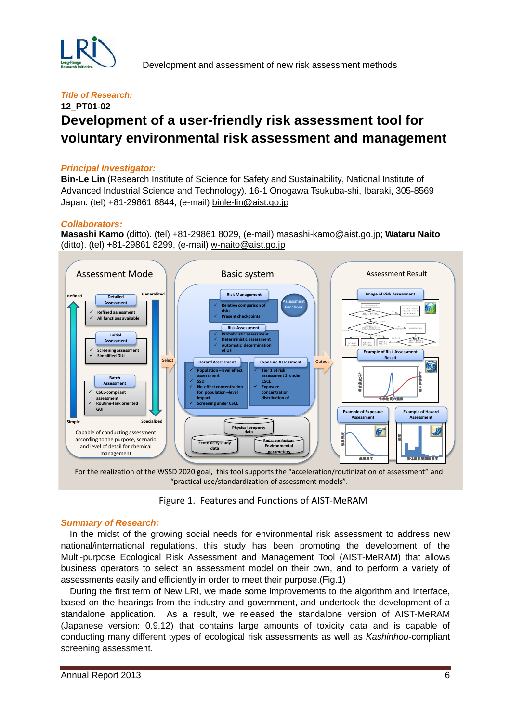

## **12\_PT01-02 Development of a user-friendly risk assessment tool for voluntary environmental risk assessment and management**

#### *Principal Investigator:*

**Bin-Le Lin** (Research Institute of Science for Safety and Sustainability, National Institute of Advanced Industrial Science and Technology). 16-1 Onogawa Tsukuba-shi, Ibaraki, 305-8569 Japan. (tel) +81-29861 8844, (e-mail) [binle-lin@aist.go.jp](mailto:binle-lin@aist.go.jp)

#### *Collaborators:*

**Masashi Kamo** (ditto). (tel) +81-29861 8029, (e-mail) [masashi-kamo@aist.go.jp;](mailto:masashi-kamo@aist.go.jp) **Wataru Naito** (ditto). (tel) +81-29861 8299, (e-mail) [w-naito@aist.go.jp](mailto:w-naito@aist.go.jp)



For the realization of the WSSD 2020 goal, this tool supports the "acceleration/routinization of assessment" and "practical use/standardization of assessment models".

Figure 1. Features and Functions of AIST-MeRAM

#### *Summary of Research:*

 In the midst of the growing social needs for environmental risk assessment to address new national/international regulations, this study has been promoting the development of the Multi-purpose Ecological Risk Assessment and Management Tool (AIST-MeRAM) that allows business operators to select an assessment model on their own, and to perform a variety of assessments easily and efficiently in order to meet their purpose.(Fig.1)

During the first term of New LRI, we made some improvements to the algorithm and interface, based on the hearings from the industry and government, and undertook the development of a standalone application. As a result, we released the standalone version of AIST-MeRAM (Japanese version: 0.9.12) that contains large amounts of toxicity data and is capable of conducting many different types of ecological risk assessments as well as *Kashinhou*-compliant screening assessment.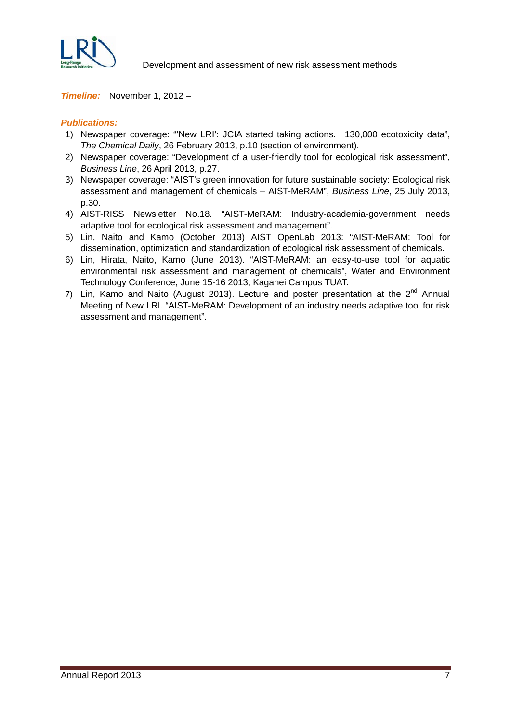

Development and assessment of new risk assessment methods

#### *Timeline:* November 1, 2012 –

#### *Publications:*

- 1) Newspaper coverage: "'New LRI': JCIA started taking actions. 130,000 ecotoxicity data", *The Chemical Daily*, 26 February 2013, p.10 (section of environment).
- 2) Newspaper coverage: "Development of a user-friendly tool for ecological risk assessment", *Business Line*, 26 April 2013, p.27.
- 3) Newspaper coverage: "AIST's green innovation for future sustainable society: Ecological risk assessment and management of chemicals – AIST-MeRAM", *Business Line*, 25 July 2013, p.30.
- 4) AIST-RISS Newsletter No.18. "AIST-MeRAM: Industry-academia-government needs adaptive tool for ecological risk assessment and management".
- 5) Lin, Naito and Kamo (October 2013) AIST OpenLab 2013: "AIST-MeRAM: Tool for dissemination, optimization and standardization of ecological risk assessment of chemicals.
- 6) Lin, Hirata, Naito, Kamo (June 2013). "AIST-MeRAM: an easy-to-use tool for aquatic environmental risk assessment and management of chemicals", Water and Environment Technology Conference, June 15-16 2013, Kaganei Campus TUAT.
- 7) Lin, Kamo and Naito (August 2013). Lecture and poster presentation at the  $2^{nd}$  Annual Meeting of New LRI. "AIST-MeRAM: Development of an industry needs adaptive tool for risk assessment and management".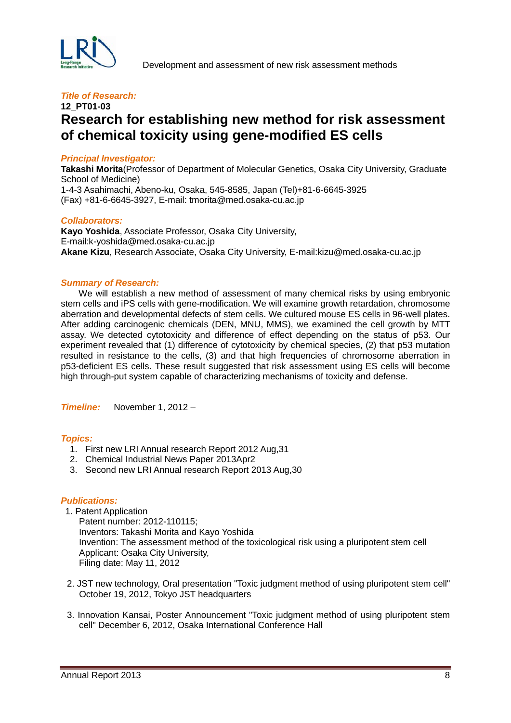

## **12\_PT01-03 Research for establishing new method for risk assessment of chemical toxicity using gene-modified ES cells**

#### *Principal Investigator:*

**Takashi Morita**(Professor of Department of Molecular Genetics, Osaka City University, Graduate School of Medicine) 1-4-3 Asahimachi, Abeno-ku, Osaka, 545-8585, Japan (Tel)+81-6-6645-3925 (Fax) +81-6-6645-3927, E-mail: tmorita@med.osaka-cu.ac.jp

#### *Collaborators:*

**Kayo Yoshida**, Associate Professor, Osaka City University, E-mail:k-yoshida@med.osaka-cu.ac.jp **Akane Kizu**, Research Associate, Osaka City University, E-mail:kizu@med.osaka-cu.ac.jp

#### *Summary of Research:*

 We will establish a new method of assessment of many chemical risks by using embryonic stem cells and iPS cells with gene-modification. We will examine growth retardation, chromosome aberration and developmental defects of stem cells. We cultured mouse ES cells in 96-well plates. After adding carcinogenic chemicals (DEN, MNU, MMS), we examined the cell growth by MTT assay. We detected cytotoxicity and difference of effect depending on the status of p53. Our experiment revealed that (1) difference of cytotoxicity by chemical species, (2) that p53 mutation resulted in resistance to the cells, (3) and that high frequencies of chromosome aberration in p53-deficient ES cells. These result suggested that risk assessment using ES cells will become high through-put system capable of characterizing mechanisms of toxicity and defense.

*Timeline:* November 1, 2012 –

#### *Topics:*

- 1. First new LRI Annual research Report 2012 Aug,31
- 2. Chemical Industrial News Paper 2013Apr2
- 3. Second new LRI Annual research Report 2013 Aug,30

#### *Publications:*

1. Patent Application

Patent number: 2012-110115; Inventors: Takashi Morita and Kayo Yoshida Invention: The assessment method of the toxicological risk using a pluripotent stem cell Applicant: Osaka City University, Filing date: May 11, 2012

- 2. JST new technology, Oral presentation "Toxic judgment method of using pluripotent stem cell" October 19, 2012, Tokyo JST headquarters
- 3. Innovation Kansai, Poster Announcement "Toxic judgment method of using pluripotent stem cell" December 6, 2012, Osaka International Conference Hall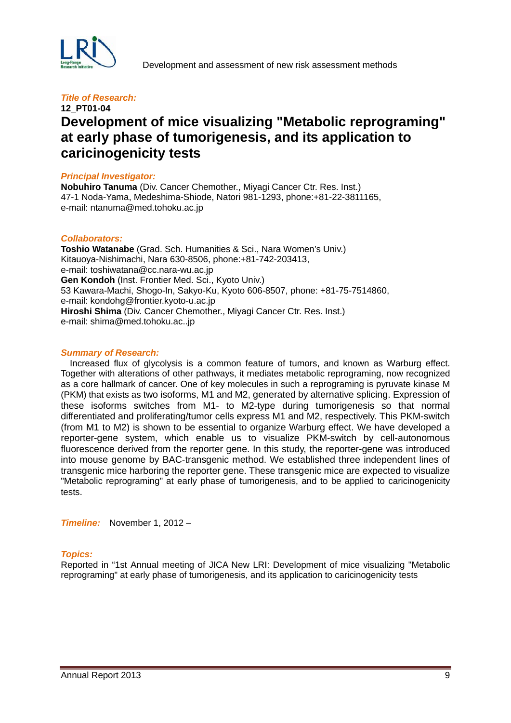

## **12\_PT01-04 Development of mice visualizing "Metabolic reprograming" at early phase of tumorigenesis, and its application to caricinogenicity tests**

#### *Principal Investigator:*

**Nobuhiro Tanuma** (Div. Cancer Chemother., Miyagi Cancer Ctr. Res. Inst.) 47-1 Noda-Yama, Medeshima-Shiode, Natori 981-1293, phone:+81-22-3811165, e-mail: ntanuma@med.tohoku.ac.jp

#### *Collaborators:*

**Toshio Watanabe** (Grad. Sch. Humanities & Sci., Nara Women's Univ.) Kitauoya-Nishimachi, Nara 630-8506, phone:+81-742-203413, e-mail: toshiwatana@cc.nara-wu.ac.jp **Gen Kondoh** (Inst. Frontier Med. Sci., Kyoto Univ.) 53 Kawara-Machi, Shogo-In, Sakyo-Ku, Kyoto 606-8507, phone: +81-75-7514860, e-mail: kondohg@frontier.kyoto-u.ac.jp **Hiroshi Shima** (Div. Cancer Chemother., Miyagi Cancer Ctr. Res. Inst.) e-mail: shima@med.tohoku.ac..jp

#### *Summary of Research:*

Increased flux of glycolysis is a common feature of tumors, and known as Warburg effect. Together with alterations of other pathways, it mediates metabolic reprograming, now recognized as a core hallmark of cancer. One of key molecules in such a reprograming is pyruvate kinase M (PKM) that exists as two isoforms, M1 and M2, generated by alternative splicing. Expression of these isoforms switches from M1- to M2-type during tumorigenesis so that normal differentiated and proliferating/tumor cells express M1 and M2, respectively. This PKM-switch (from M1 to M2) is shown to be essential to organize Warburg effect. We have developed a reporter-gene system, which enable us to visualize PKM-switch by cell-autonomous fluorescence derived from the reporter gene. In this study, the reporter-gene was introduced into mouse genome by BAC-transgenic method. We established three independent lines of transgenic mice harboring the reporter gene. These transgenic mice are expected to visualize "Metabolic reprograming" at early phase of tumorigenesis, and to be applied to caricinogenicity tests.

*Timeline:* November 1, 2012 –

#### *Topics:*

Reported in "1st Annual meeting of JICA New LRI: Development of mice visualizing "Metabolic reprograming" at early phase of tumorigenesis, and its application to caricinogenicity tests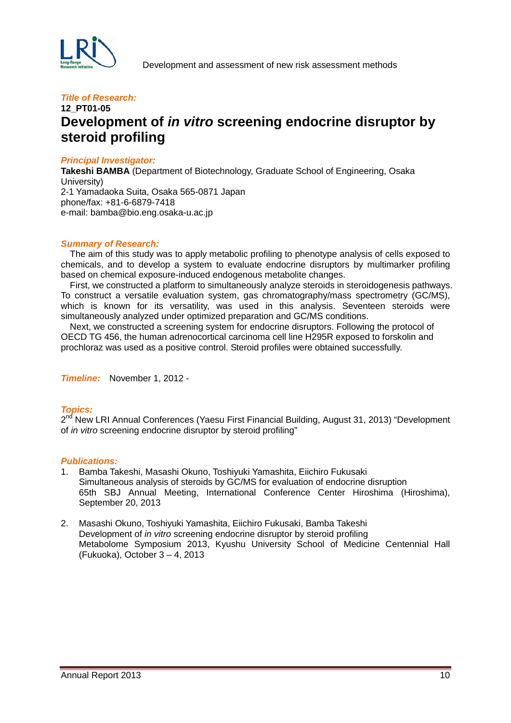

## **12\_PT01-05 Development of** *in vitro* **screening endocrine disruptor by steroid profiling**

#### *Principal Investigator:*

**Takeshi BAMBA** (Department of Biotechnology, Graduate School of Engineering, Osaka University) 2-1 Yamadaoka Suita, Osaka 565-0871 Japan phone/fax: +81-6-6879-7418 e-mail: bamba@bio.eng.osaka-u.ac.jp

#### *Summary of Research:*

The aim of this study was to apply metabolic profiling to phenotype analysis of cells exposed to chemicals, and to develop a system to evaluate endocrine disruptors by multimarker profiling based on chemical exposure-induced endogenous metabolite changes.

First, we constructed a platform to simultaneously analyze steroids in steroidogenesis pathways. To construct a versatile evaluation system, gas chromatography/mass spectrometry (GC/MS), which is known for its versatility, was used in this analysis. Seventeen steroids were simultaneously analyzed under optimized preparation and GC/MS conditions.

Next, we constructed a screening system for endocrine disruptors. Following the protocol of OECD TG 456, the human adrenocortical carcinoma cell line H295R exposed to forskolin and prochloraz was used as a positive control. Steroid profiles were obtained successfully.

*Timeline:* November 1, 2012 -

#### *Topics:*

2<sup>nd</sup> New LRI Annual Conferences (Yaesu First Financial Building, August 31, 2013) "Development of *in vitro* screening endocrine disruptor by steroid profiling"

#### *Publications:*

- 1. Bamba Takeshi, Masashi Okuno, Toshiyuki Yamashita, Eiichiro Fukusaki Simultaneous analysis of steroids by GC/MS for evaluation of endocrine disruption 65th SBJ Annual Meeting, International Conference Center Hiroshima (Hiroshima), September 20, 2013
- 2. Masashi Okuno, Toshiyuki Yamashita, Eiichiro Fukusaki, Bamba Takeshi Development of *in vitro* screening endocrine disruptor by steroid profiling Metabolome Symposium 2013, Kyushu University School of Medicine Centennial Hall (Fukuoka), October 3 – 4, 2013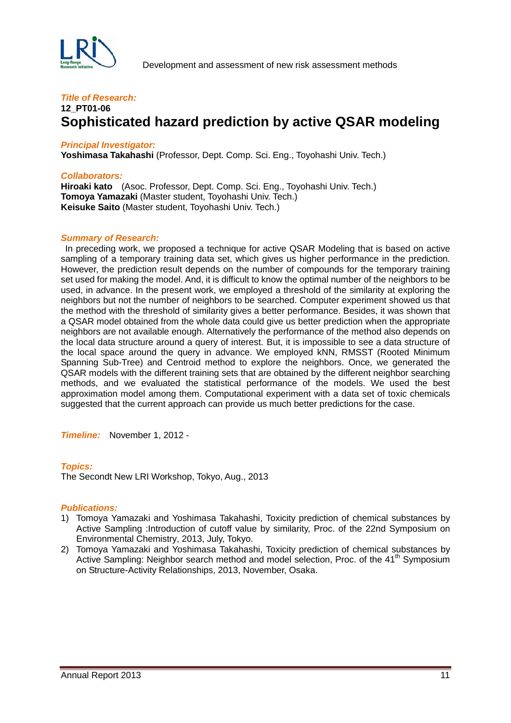

### **12\_PT01-06 Sophisticated hazard prediction by active QSAR modeling**

#### *Principal Investigator:*

**Yoshimasa Takahashi** (Professor, Dept. Comp. Sci. Eng., Toyohashi Univ. Tech.)

#### *Collaborators:*

**Hiroaki kato** (Asoc. Professor, Dept. Comp. Sci. Eng., Toyohashi Univ. Tech.) **Tomoya Yamazaki** (Master student, Toyohashi Univ. Tech.) **Keisuke Saito** (Master student, Toyohashi Univ. Tech.)

#### *Summary of Research:*

In preceding work, we proposed a technique for active QSAR Modeling that is based on active sampling of a temporary training data set, which gives us higher performance in the prediction. However, the prediction result depends on the number of compounds for the temporary training set used for making the model. And, it is difficult to know the optimal number of the neighbors to be used, in advance. In the present work, we employed a threshold of the similarity at exploring the neighbors but not the number of neighbors to be searched. Computer experiment showed us that the method with the threshold of similarity gives a better performance. Besides, it was shown that a QSAR model obtained from the whole data could give us better prediction when the appropriate neighbors are not available enough. Alternatively the performance of the method also depends on the local data structure around a query of interest. But, it is impossible to see a data structure of the local space around the query in advance. We employed kNN, RMSST (Rooted Minimum Spanning Sub-Tree) and Centroid method to explore the neighbors. Once, we generated the QSAR models with the different training sets that are obtained by the different neighbor searching methods, and we evaluated the statistical performance of the models. We used the best approximation model among them. Computational experiment with a data set of toxic chemicals suggested that the current approach can provide us much better predictions for the case.

*Timeline:* November 1, 2012 -

#### *Topics:*

The Secondt New LRI Workshop, Tokyo, Aug., 2013

#### *Publications:*

- 1) Tomoya Yamazaki and Yoshimasa Takahashi, Toxicity prediction of chemical substances by Active Sampling :Introduction of cutoff value by similarity, Proc. of the 22nd Symposium on Environmental Chemistry, 2013, July, Tokyo.
- 2) Tomoya Yamazaki and Yoshimasa Takahashi, Toxicity prediction of chemical substances by Active Sampling: Neighbor search method and model selection, Proc. of the  $41<sup>th</sup>$  Symposium on Structure-Activity Relationships, 2013, November, Osaka.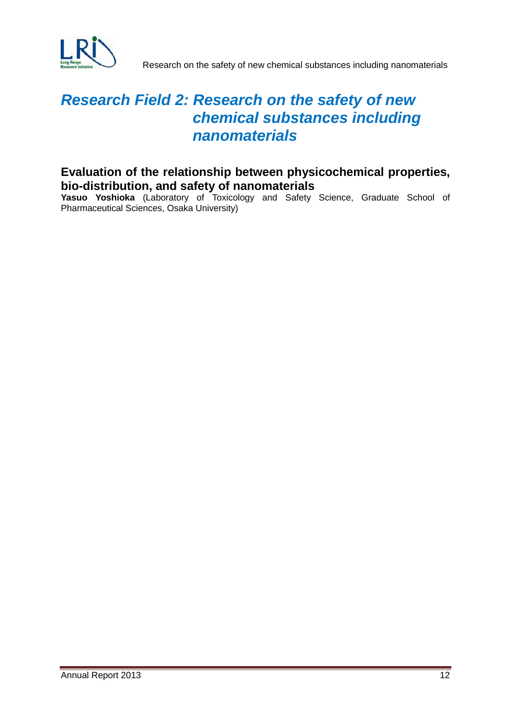

# *Research Field 2: Research on the safety of new chemical substances including nanomaterials*

# **Evaluation of the relationship between physicochemical properties,**

Yasuo Yoshioka (Laboratory of Toxicology and Safety Science, Graduate School of Pharmaceutical Sciences, Osaka University)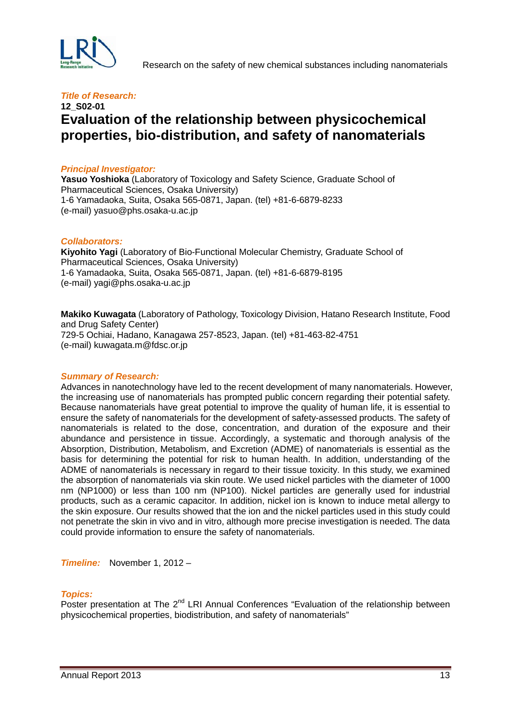

## **12\_S02-01 Evaluation of the relationship between physicochemical properties, bio-distribution, and safety of nanomaterials**

#### *Principal Investigator:*

Yasuo Yoshioka (Laboratory of Toxicology and Safety Science, Graduate School of Pharmaceutical Sciences, Osaka University) 1-6 Yamadaoka, Suita, Osaka 565-0871, Japan. (tel) +81-6-6879-8233 (e-mail) yasuo@phs.osaka-u.ac.jp

#### *Collaborators:*

**Kiyohito Yagi** (Laboratory of Bio-Functional Molecular Chemistry, Graduate School of Pharmaceutical Sciences, Osaka University) 1-6 Yamadaoka, Suita, Osaka 565-0871, Japan. (tel) +81-6-6879-8195 (e-mail) [yagi@phs.osaka-u.ac.jp](mailto:yagi@phs.osaka-u.ac.jp)

**Makiko Kuwagata** (Laboratory of Pathology, Toxicology Division, Hatano Research Institute, Food and Drug Safety Center) 729-5 Ochiai, Hadano, Kanagawa 257-8523, Japan. (tel) +81-463-82-4751 (e-mail) kuwagata.m@fdsc.or.jp

#### *Summary of Research:*

Advances in nanotechnology have led to the recent development of many nanomaterials. However, the increasing use of nanomaterials has prompted public concern regarding their potential safety. Because nanomaterials have great potential to improve the quality of human life, it is essential to ensure the safety of nanomaterials for the development of safety-assessed products. The safety of nanomaterials is related to the dose, concentration, and duration of the exposure and their abundance and persistence in tissue. Accordingly, a systematic and thorough analysis of the Absorption, Distribution, Metabolism, and Excretion (ADME) of nanomaterials is essential as the basis for determining the potential for risk to human health. In addition, understanding of the ADME of nanomaterials is necessary in regard to their tissue toxicity. In this study, we examined the absorption of nanomaterials via skin route. We used nickel particles with the diameter of 1000 nm (NP1000) or less than 100 nm (NP100). Nickel particles are generally used for industrial products, such as a ceramic capacitor. In addition, nickel ion is known to induce metal allergy to the skin exposure. Our results showed that the ion and the nickel particles used in this study could not penetrate the skin in vivo and in vitro, although more precise investigation is needed. The data could provide information to ensure the safety of nanomaterials.

*Timeline:* November 1, 2012 –

#### *Topics:*

Poster presentation at The  $2^{nd}$  LRI Annual Conferences "Evaluation of the relationship between physicochemical properties, biodistribution, and safety of nanomaterials"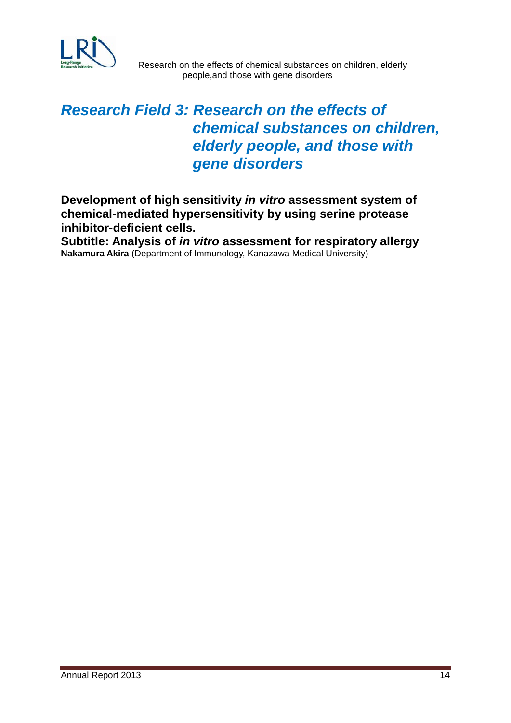

# *Research Field 3: Research on the effects of chemical substances on children, elderly people, and those with gene disorders*

**Development of high sensitivity** *in vitro* **assessment system of chemical-mediated hypersensitivity by using serine protease inhibitor-deficient cells.**

**Subtitle: Analysis of** *in vitro* **assessment for respiratory allergy Nakamura Akira** (Department of Immunology, Kanazawa Medical University)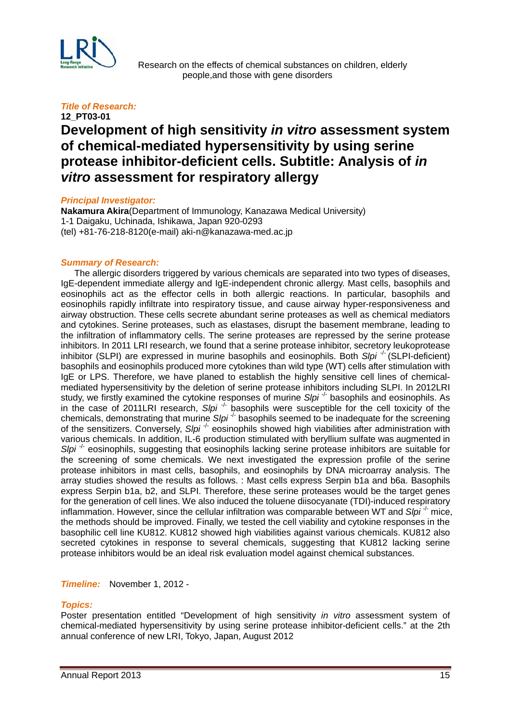

 Research on the effects of chemical substances on children, elderly people,and those with gene disorders

#### *Title of Research:*

## **12\_PT03-01 Development of high sensitivity** *in vitro* **assessment system of chemical-mediated hypersensitivity by using serine protease inhibitor-deficient cells. Subtitle: Analysis of** *in vitro* **assessment for respiratory allergy**

#### *Principal Investigator:*

**Nakamura Akira**(Department of Immunology, Kanazawa Medical University) 1-1 Daigaku, Uchinada, Ishikawa, Japan 920-0293 (tel) +81-76-218-8120(e-mail) aki-n@kanazawa-med.ac.jp

#### *Summary of Research:*

 The allergic disorders triggered by various chemicals are separated into two types of diseases, IgE-dependent immediate allergy and IgE-independent chronic allergy. Mast cells, basophils and eosinophils act as the effector cells in both allergic reactions. In particular, basophils and eosinophils rapidly infiltrate into respiratory tissue, and cause airway hyper-responsiveness and airway obstruction. These cells secrete abundant serine proteases as well as chemical mediators and cytokines. Serine proteases, such as elastases, disrupt the basement membrane, leading to the infiltration of inflammatory cells. The serine proteases are repressed by the serine protease inhibitors. In 2011 LRI research, we found that a serine protease inhibitor, secretory leukoprotease inhibitor (SLPI) are expressed in murine basophils and eosinophils. Both Slpi<sup>-/-</sup> (SLPI-deficient) basophils and eosinophils produced more cytokines than wild type (WT) cells after stimulation with IgE or LPS. Therefore, we have planed to establish the highly sensitive cell lines of chemicalmediated hypersensitivity by the deletion of serine protease inhibitors including SLPI. In 2012LRI study, we firstly examined the cytokine responses of murine *Slpi<sup>-1-</sup>* basophils and eosinophils. As in the case of 2011LRI research, *Slpi*<sup>-/-</sup> basophils were susceptible for the cell toxicity of the chemicals, demonstrating that murine *Slpi*<sup>-/-</sup> basophils seemed to be inadequate for the screening of the sensitizers. Conversely, Slpi<sup>-/-</sup> eosinophils showed high viabilities after administration with various chemicals. In addition, IL-6 production stimulated with beryllium sulfate was augmented in *Slpi* <sup>1</sup>- eosinophils, suggesting that eosinophils lacking serine protease inhibitors are suitable for the screening of some chemicals. We next investigated the expression profile of the serine protease inhibitors in mast cells, basophils, and eosinophils by DNA microarray analysis. The array studies showed the results as follows. : Mast cells express Serpin b1a and b6a. Basophils express Serpin b1a, b2, and SLPI. Therefore, these serine proteases would be the target genes for the generation of cell lines. We also induced the toluene diisocyanate (TDI)-induced respiratory inflammation. However, since the cellular infiltration was comparable between WT and Slpi<sup>-/-</sup> mice, the methods should be improved. Finally, we tested the cell viability and cytokine responses in the basophilic cell line KU812. KU812 showed high viabilities against various chemicals. KU812 also secreted cytokines in response to several chemicals, suggesting that KU812 lacking serine protease inhibitors would be an ideal risk evaluation model against chemical substances.

#### *Timeline:* November 1, 2012 -

#### *Topics:*

Poster presentation entitled "Development of high sensitivity *in vitro* assessment system of chemical-mediated hypersensitivity by using serine protease inhibitor-deficient cells." at the 2th annual conference of new LRI, Tokyo, Japan, August 2012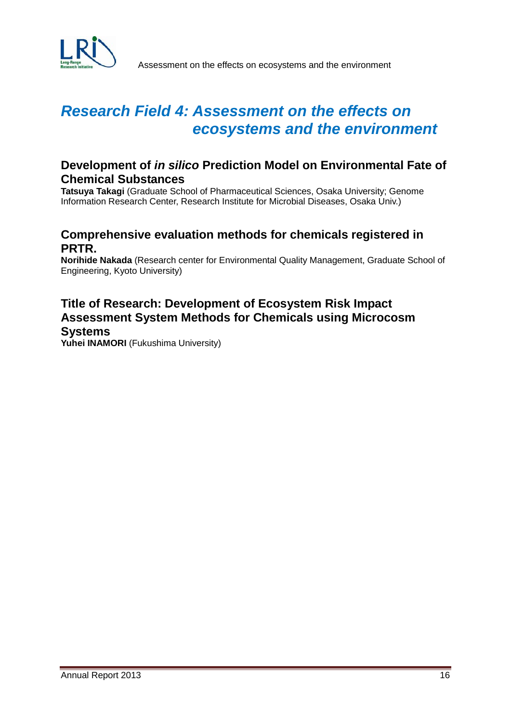

# *Research Field 4: Assessment on the effects on ecosystems and the environment*

## **Development of** *in silico* **Prediction Model on Environmental Fate of Chemical Substances**

**Tatsuya Takagi** (Graduate School of Pharmaceutical Sciences, Osaka University; Genome Information Research Center, Research Institute for Microbial Diseases, Osaka Univ.)

## **Comprehensive evaluation methods for chemicals registered in PRTR.**

**Norihide Nakada** (Research center for Environmental Quality Management, Graduate School of Engineering, Kyoto University)

## **Title of Research: Development of Ecosystem Risk Impact Assessment System Methods for Chemicals using Microcosm Systems**

Yuhei **INAMORI** (Fukushima University)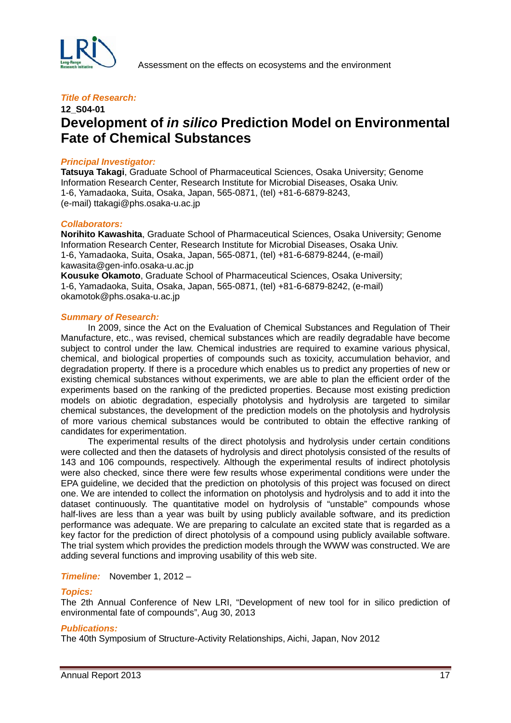

## **12\_S04-01 Development of** *in silico* **Prediction Model on Environmental Fate of Chemical Substances**

#### *Principal Investigator:*

**Tatsuya Takagi**, Graduate School of Pharmaceutical Sciences, Osaka University; Genome Information Research Center, Research Institute for Microbial Diseases, Osaka Univ. 1-6, Yamadaoka, Suita, Osaka, Japan, 565-0871, (tel) +81-6-6879-8243, (e-mail) ttakagi@phs.osaka-u.ac.jp

#### *Collaborators:*

**Norihito Kawashita**, Graduate School of Pharmaceutical Sciences, Osaka University; Genome Information Research Center, Research Institute for Microbial Diseases, Osaka Univ. 1-6, Yamadaoka, Suita, Osaka, Japan, 565-0871, (tel) +81-6-6879-8244, (e-mail) kawasita@gen-info.osaka-u.ac.jp **Kousuke Okamoto**, Graduate School of Pharmaceutical Sciences, Osaka University; 1-6, Yamadaoka, Suita, Osaka, Japan, 565-0871, (tel) +81-6-6879-8242, (e-mail)

okamotok@phs.osaka-u.ac.jp

#### *Summary of Research:*

In 2009, since the Act on the Evaluation of Chemical Substances and Regulation of Their Manufacture, etc., was revised, chemical substances which are readily degradable have become subject to control under the law. Chemical industries are required to examine various physical, chemical, and biological properties of compounds such as toxicity, accumulation behavior, and degradation property. If there is a procedure which enables us to predict any properties of new or existing chemical substances without experiments, we are able to plan the efficient order of the experiments based on the ranking of the predicted properties. Because most existing prediction models on abiotic degradation, especially photolysis and hydrolysis are targeted to similar chemical substances, the development of the prediction models on the photolysis and hydrolysis of more various chemical substances would be contributed to obtain the effective ranking of candidates for experimentation.

The experimental results of the direct photolysis and hydrolysis under certain conditions were collected and then the datasets of hydrolysis and direct photolysis consisted of the results of 143 and 106 compounds, respectively. Although the experimental results of indirect photolysis were also checked, since there were few results whose experimental conditions were under the EPA guideline, we decided that the prediction on photolysis of this project was focused on direct one. We are intended to collect the information on photolysis and hydrolysis and to add it into the dataset continuously. The quantitative model on hydrolysis of "unstable" compounds whose half-lives are less than a year was built by using publicly available software, and its prediction performance was adequate. We are preparing to calculate an excited state that is regarded as a key factor for the prediction of direct photolysis of a compound using publicly available software. The trial system which provides the prediction models through the WWW was constructed. We are adding several functions and improving usability of this web site.

#### *Timeline:* November 1, 2012 –

#### *Topics:*

The 2th Annual Conference of New LRI, "Development of new tool for in silico prediction of environmental fate of compounds", Aug 30, 2013

#### *Publications:*

The 40th Symposium of Structure-Activity Relationships, Aichi, Japan, Nov 2012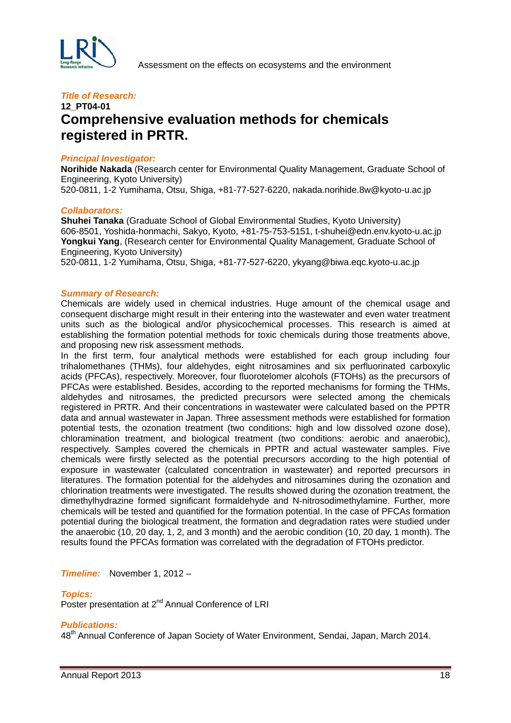

## **12\_PT04-01 Comprehensive evaluation methods for chemicals registered in PRTR.**

#### *Principal Investigator:*

**Norihide Nakada** (Research center for Environmental Quality Management, Graduate School of Engineering, Kyoto University)

520-0811, 1-2 Yumihama, Otsu, Shiga, +81-77-527-6220, nakada.norihide.8w@kyoto-u.ac.jp

#### *Collaborators:*

**Shuhei Tanaka** (Graduate School of Global Environmental Studies, Kyoto University) 606-8501, Yoshida-honmachi, Sakyo, Kyoto, +81-75-753-5151, t-shuhei@edn.env.kyoto-u.ac.jp **Yongkui Yang**, (Research center for Environmental Quality Management, Graduate School of Engineering, Kyoto University)

520-0811, 1-2 Yumihama, Otsu, Shiga, +81-77-527-6220, ykyang@biwa.eqc.kyoto-u.ac.jp

#### *Summary of Research:*

Chemicals are widely used in chemical industries. Huge amount of the chemical usage and consequent discharge might result in their entering into the wastewater and even water treatment units such as the biological and/or physicochemical processes. This research is aimed at establishing the formation potential methods for toxic chemicals during those treatments above, and proposing new risk assessment methods.

In the first term, four analytical methods were established for each group including four trihalomethanes (THMs), four aldehydes, eight nitrosamines and six perfluorinated carboxylic acids (PFCAs), respectively. Moreover, four fluorotelomer alcohols (FTOHs) as the precursors of PFCAs were established. Besides, according to the reported mechanisms for forming the THMs, aldehydes and nitrosames, the predicted precursors were selected among the chemicals registered in PRTR. And their concentrations in wastewater were calculated based on the PPTR data and annual wastewater in Japan. Three assessment methods were established for formation potential tests, the ozonation treatment (two conditions: high and low dissolved ozone dose), chloramination treatment, and biological treatment (two conditions: aerobic and anaerobic), respectively. Samples covered the chemicals in PPTR and actual wastewater samples. Five chemicals were firstly selected as the potential precursors according to the high potential of exposure in wastewater (calculated concentration in wastewater) and reported precursors in literatures. The formation potential for the aldehydes and nitrosamines during the ozonation and chlorination treatments were investigated. The results showed during the ozonation treatment, the dimethylhydrazine formed significant formaldehyde and N-nitrosodimethylamine. Further, more chemicals will be tested and quantified for the formation potential. In the case of PFCAs formation potential during the biological treatment, the formation and degradation rates were studied under the anaerobic (10, 20 day, 1, 2, and 3 month) and the aerobic condition (10, 20 day, 1 month). The results found the PFCAs formation was correlated with the degradation of FTOHs predictor.

#### *Timeline:* November 1, 2012 –

#### *Topics:*

Poster presentation at 2<sup>nd</sup> Annual Conference of LRI

#### *Publications:*

48th Annual Conference of Japan Society of Water Environment, Sendai, Japan, March 2014.